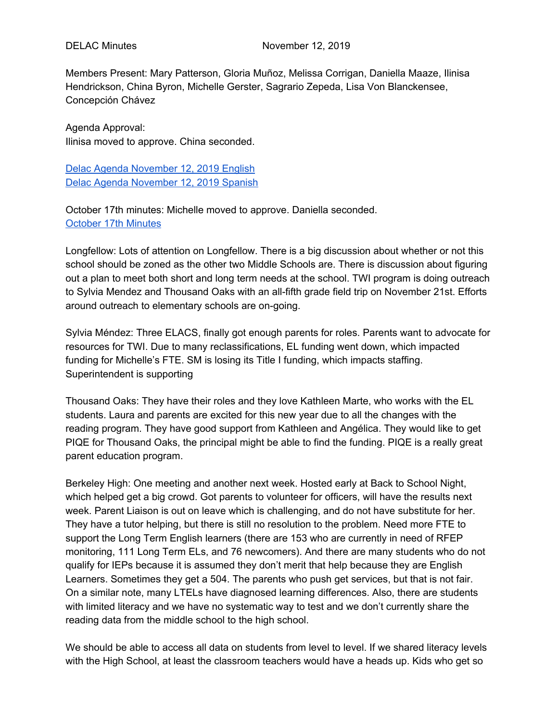Members Present: Mary Patterson, Gloria Muñoz, Melissa Corrigan, Daniella Maaze, Ilinisa Hendrickson, China Byron, Michelle Gerster, Sagrario Zepeda, Lisa Von Blanckensee, Concepción Chávez

Agenda Approval: Ilinisa moved to approve. China seconded.

Delac Agenda [November](https://docs.google.com/document/d/1lqDB34i8wV28dB_Zyv8ojr9LOrjBlJONTdMHJTmF0lw/edit?usp=sharing) 12, 2019 English Delac Agenda [November](https://docs.google.com/document/d/1lqDB34i8wV28dB_Zyv8ojr9LOrjBlJONTdMHJTmF0lw/edit?usp=sharing) 12, 2019 Spanish

October 17th minutes: Michelle moved to approve. Daniella seconded. [October](https://docs.google.com/document/d/1MgEsJnzif1BRAtY2I1LpyNwUQRp6XIaZPG_ZyRnMEPQ/edit?usp=sharing) 17th Minutes

Longfellow: Lots of attention on Longfellow. There is a big discussion about whether or not this school should be zoned as the other two Middle Schools are. There is discussion about figuring out a plan to meet both short and long term needs at the school. TWI program is doing outreach to Sylvia Mendez and Thousand Oaks with an all-fifth grade field trip on November 21st. Efforts around outreach to elementary schools are on-going.

Sylvia Méndez: Three ELACS, finally got enough parents for roles. Parents want to advocate for resources for TWI. Due to many reclassifications, EL funding went down, which impacted funding for Michelle's FTE. SM is losing its Title I funding, which impacts staffing. Superintendent is supporting

Thousand Oaks: They have their roles and they love Kathleen Marte, who works with the EL students. Laura and parents are excited for this new year due to all the changes with the reading program. They have good support from Kathleen and Angélica. They would like to get PIQE for Thousand Oaks, the principal might be able to find the funding. PIQE is a really great parent education program.

Berkeley High: One meeting and another next week. Hosted early at Back to School Night, which helped get a big crowd. Got parents to volunteer for officers, will have the results next week. Parent Liaison is out on leave which is challenging, and do not have substitute for her. They have a tutor helping, but there is still no resolution to the problem. Need more FTE to support the Long Term English learners (there are 153 who are currently in need of RFEP monitoring, 111 Long Term ELs, and 76 newcomers). And there are many students who do not qualify for IEPs because it is assumed they don't merit that help because they are English Learners. Sometimes they get a 504. The parents who push get services, but that is not fair. On a similar note, many LTELs have diagnosed learning differences. Also, there are students with limited literacy and we have no systematic way to test and we don't currently share the reading data from the middle school to the high school.

We should be able to access all data on students from level to level. If we shared literacy levels with the High School, at least the classroom teachers would have a heads up. Kids who get so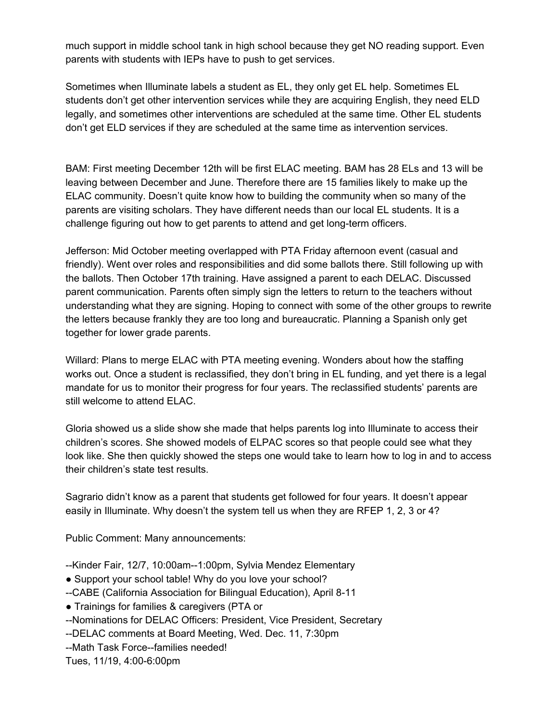much support in middle school tank in high school because they get NO reading support. Even parents with students with IEPs have to push to get services.

Sometimes when Illuminate labels a student as EL, they only get EL help. Sometimes EL students don't get other intervention services while they are acquiring English, they need ELD legally, and sometimes other interventions are scheduled at the same time. Other EL students don't get ELD services if they are scheduled at the same time as intervention services.

BAM: First meeting December 12th will be first ELAC meeting. BAM has 28 ELs and 13 will be leaving between December and June. Therefore there are 15 families likely to make up the ELAC community. Doesn't quite know how to building the community when so many of the parents are visiting scholars. They have different needs than our local EL students. It is a challenge figuring out how to get parents to attend and get long-term officers.

Jefferson: Mid October meeting overlapped with PTA Friday afternoon event (casual and friendly). Went over roles and responsibilities and did some ballots there. Still following up with the ballots. Then October 17th training. Have assigned a parent to each DELAC. Discussed parent communication. Parents often simply sign the letters to return to the teachers without understanding what they are signing. Hoping to connect with some of the other groups to rewrite the letters because frankly they are too long and bureaucratic. Planning a Spanish only get together for lower grade parents.

Willard: Plans to merge ELAC with PTA meeting evening. Wonders about how the staffing works out. Once a student is reclassified, they don't bring in EL funding, and yet there is a legal mandate for us to monitor their progress for four years. The reclassified students' parents are still welcome to attend ELAC.

Gloria showed us a slide show she made that helps parents log into Illuminate to access their children's scores. She showed models of ELPAC scores so that people could see what they look like. She then quickly showed the steps one would take to learn how to log in and to access their children's state test results.

Sagrario didn't know as a parent that students get followed for four years. It doesn't appear easily in Illuminate. Why doesn't the system tell us when they are RFEP 1, 2, 3 or 4?

Public Comment: Many announcements:

- --Kinder Fair, 12/7, 10:00am--1:00pm, Sylvia Mendez Elementary
- Support your school table! Why do you love your school?
- --CABE (California Association for Bilingual Education), April 8-11
- Trainings for families & caregivers (PTA or
- --Nominations for DELAC Officers: President, Vice President, Secretary
- --DELAC comments at Board Meeting, Wed. Dec. 11, 7:30pm
- --Math Task Force--families needed!

Tues, 11/19, 4:00-6:00pm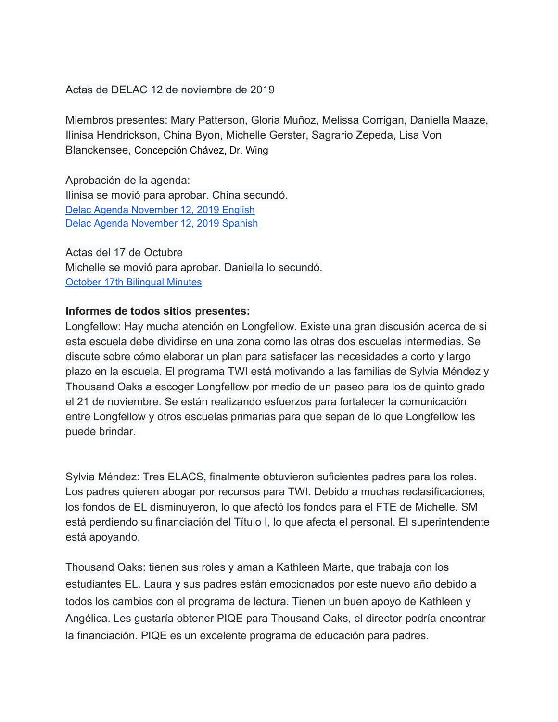Actas de DELAC 12 de noviembre de 2019

Miembros presentes: Mary Patterson, Gloria Muñoz, Melissa Corrigan, Daniella Maaze, Ilinisa Hendrickson, China Byon, Michelle Gerster, Sagrario Zepeda, Lisa Von Blanckensee, Concepción Chávez, Dr. Wing

Aprobación de la agenda: Ilinisa se movió para aprobar. China secundó. Delac Agenda [November](https://docs.google.com/document/d/1lqDB34i8wV28dB_Zyv8ojr9LOrjBlJONTdMHJTmF0lw/edit?usp=sharing) 12, 2019 English Delac Agenda [November](https://docs.google.com/document/d/1lqDB34i8wV28dB_Zyv8ojr9LOrjBlJONTdMHJTmF0lw/edit?usp=sharing) 12, 2019 Spanish

Actas del 17 de Octubre Michelle se movió para aprobar. Daniella lo secundó. October 17th [Bilingual](https://docs.google.com/document/d/1MgEsJnzif1BRAtY2I1LpyNwUQRp6XIaZPG_ZyRnMEPQ/edit?usp=sharing) Minutes

## **Informes de todos sitios presentes:**

Longfellow: Hay mucha atención en Longfellow. Existe una gran discusión acerca de si esta escuela debe dividirse en una zona como las otras dos escuelas intermedias. Se discute sobre cómo elaborar un plan para satisfacer las necesidades a corto y largo plazo en la escuela. El programa TWI está motivando a las familias de Sylvia Méndez y Thousand Oaks a escoger Longfellow por medio de un paseo para los de quinto grado el 21 de noviembre. Se están realizando esfuerzos para fortalecer la comunicación entre Longfellow y otros escuelas primarias para que sepan de lo que Longfellow les puede brindar.

Sylvia Méndez: Tres ELACS, finalmente obtuvieron suficientes padres para los roles. Los padres quieren abogar por recursos para TWI. Debido a muchas reclasificaciones, los fondos de EL disminuyeron, lo que afectó los fondos para el FTE de Michelle. SM está perdiendo su financiación del Título I, lo que afecta el personal. El superintendente está apoyando.

Thousand Oaks: tienen sus roles y aman a Kathleen Marte, que trabaja con los estudiantes EL. Laura y sus padres están emocionados por este nuevo año debido a todos los cambios con el programa de lectura. Tienen un buen apoyo de Kathleen y Angélica. Les gustaría obtener PIQE para Thousand Oaks, el director podría encontrar la financiación. PIQE es un excelente programa de educación para padres.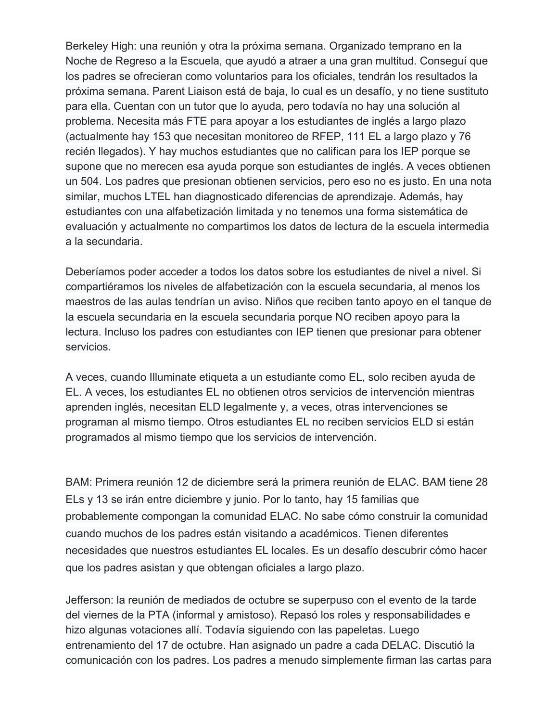Berkeley High: una reunión y otra la próxima semana. Organizado temprano en la Noche de Regreso a la Escuela, que ayudó a atraer a una gran multitud. Conseguí que los padres se ofrecieran como voluntarios para los oficiales, tendrán los resultados la próxima semana. Parent Liaison está de baja, lo cual es un desafío, y no tiene sustituto para ella. Cuentan con un tutor que lo ayuda, pero todavía no hay una solución al problema. Necesita más FTE para apoyar a los estudiantes de inglés a largo plazo (actualmente hay 153 que necesitan monitoreo de RFEP, 111 EL a largo plazo y 76 recién llegados). Y hay muchos estudiantes que no califican para los IEP porque se supone que no merecen esa ayuda porque son estudiantes de inglés. A veces obtienen un 504. Los padres que presionan obtienen servicios, pero eso no es justo. En una nota similar, muchos LTEL han diagnosticado diferencias de aprendizaje. Además, hay estudiantes con una alfabetización limitada y no tenemos una forma sistemática de evaluación y actualmente no compartimos los datos de lectura de la escuela intermedia a la secundaria.

Deberíamos poder acceder a todos los datos sobre los estudiantes de nivel a nivel. Si compartiéramos los niveles de alfabetización con la escuela secundaria, al menos los maestros de las aulas tendrían un aviso. Niños que reciben tanto apoyo en el tanque de la escuela secundaria en la escuela secundaria porque NO reciben apoyo para la lectura. Incluso los padres con estudiantes con IEP tienen que presionar para obtener servicios.

A veces, cuando Illuminate etiqueta a un estudiante como EL, solo reciben ayuda de EL. A veces, los estudiantes EL no obtienen otros servicios de intervención mientras aprenden inglés, necesitan ELD legalmente y, a veces, otras intervenciones se programan al mismo tiempo. Otros estudiantes EL no reciben servicios ELD si están programados al mismo tiempo que los servicios de intervención.

BAM: Primera reunión 12 de diciembre será la primera reunión de ELAC. BAM tiene 28 ELs y 13 se irán entre diciembre y junio. Por lo tanto, hay 15 familias que probablemente compongan la comunidad ELAC. No sabe cómo construir la comunidad cuando muchos de los padres están visitando a académicos. Tienen diferentes necesidades que nuestros estudiantes EL locales. Es un desafío descubrir cómo hacer que los padres asistan y que obtengan oficiales a largo plazo.

Jefferson: la reunión de mediados de octubre se superpuso con el evento de la tarde del viernes de la PTA (informal y amistoso). Repasó los roles y responsabilidades e hizo algunas votaciones allí. Todavía siguiendo con las papeletas. Luego entrenamiento del 17 de octubre. Han asignado un padre a cada DELAC. Discutió la comunicación con los padres. Los padres a menudo simplemente firman las cartas para